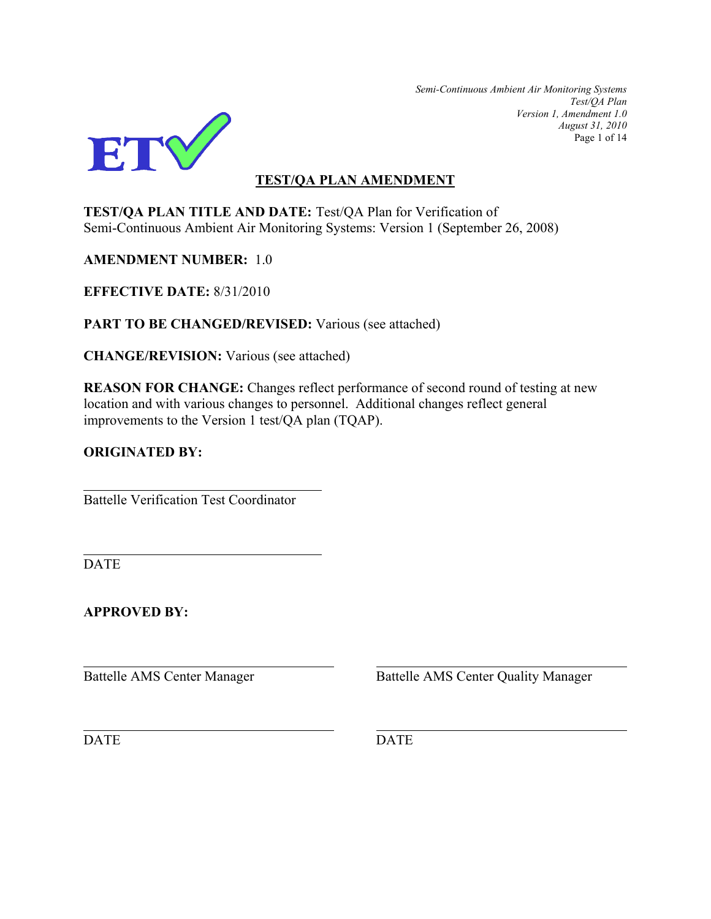

*Semi-Continuous Ambient Air Monitoring Systems Test/QA Plan Version 1, Amendment 1.0 August 31, 2010* Page 1 of 14

# **TEST/QA PLAN AMENDMENT**

**TEST/QA PLAN TITLE AND DATE:** Test/QA Plan for Verification of Semi-Continuous Ambient Air Monitoring Systems: Version 1 (September 26, 2008)

**AMENDMENT NUMBER:** 1.0

**EFFECTIVE DATE:** 8/31/2010

**PART TO BE CHANGED/REVISED:** Various (see attached)

**CHANGE/REVISION:** Various (see attached)

**REASON FOR CHANGE:** Changes reflect performance of second round of testing at new location and with various changes to personnel. Additional changes reflect general improvements to the Version 1 test/QA plan (TQAP).

# **ORIGINATED BY:**

Battelle Verification Test Coordinator

**DATE** 

**APPROVED BY:**

Battelle AMS Center Manager Battelle AMS Center Quality Manager

DATE DATE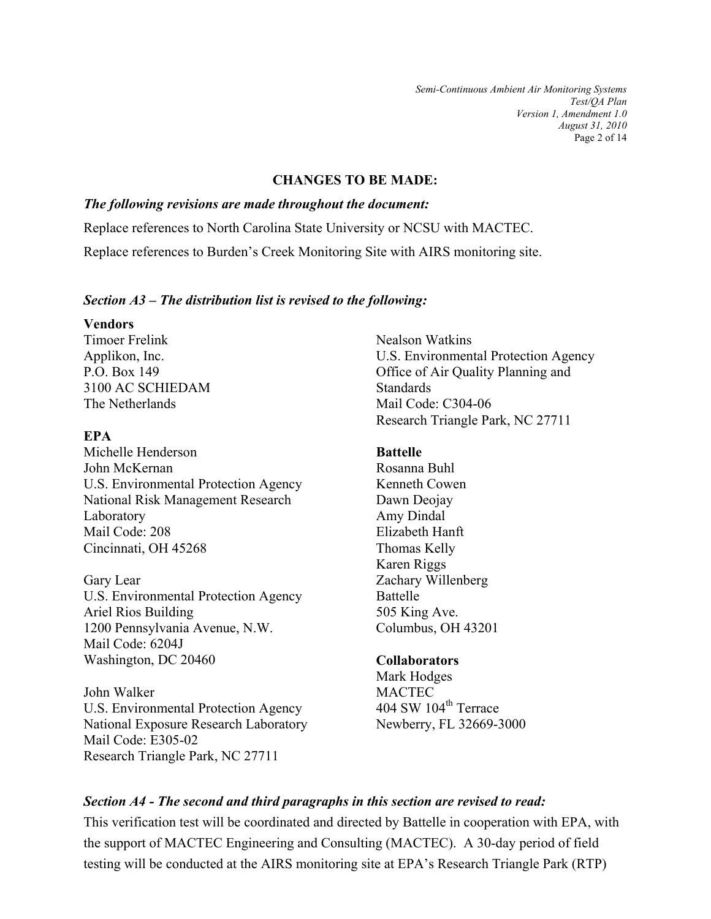*Semi-Continuous Ambient Air Monitoring Systems Test/QA Plan Version 1, Amendment 1.0 August 31, 2010* Page 2 of 14

#### **CHANGES TO BE MADE:**

#### *The following revisions are made throughout the document:*

Replace references to North Carolina State University or NCSU with MACTEC.

Replace references to Burden's Creek Monitoring Site with AIRS monitoring site.

#### *Section A3 – The distribution list is revised to the following:*

#### **Vendors**

Timoer Frelink Applikon, Inc. P.O. Box 149 3100 AC SCHIEDAM The Netherlands

# **EPA**

Michelle Henderson John McKernan U.S. Environmental Protection Agency National Risk Management Research Laboratory Mail Code: 208 Cincinnati, OH 45268

Gary Lear U.S. Environmental Protection Agency Ariel Rios Building 1200 Pennsylvania Avenue, N.W. Mail Code: 6204J Washington, DC 20460

John Walker U.S. Environmental Protection Agency National Exposure Research Laboratory Mail Code: E305-02 Research Triangle Park, NC 27711

Nealson Watkins U.S. Environmental Protection Agency Office of Air Quality Planning and Standards Mail Code: C304-06 Research Triangle Park, NC 27711

### **Battelle**

Rosanna Buhl Kenneth Cowen Dawn Deojay Amy Dindal Elizabeth Hanft Thomas Kelly Karen Riggs Zachary Willenberg Battelle 505 King Ave. Columbus, OH 43201

# **Collaborators**

Mark Hodges MACTEC 404 SW  $104^{\text{th}}$  Terrace Newberry, FL 32669-3000

# *Section A4 - The second and third paragraphs in this section are revised to read:*

This verification test will be coordinated and directed by Battelle in cooperation with EPA, with the support of MACTEC Engineering and Consulting (MACTEC). A 30-day period of field testing will be conducted at the AIRS monitoring site at EPA's Research Triangle Park (RTP)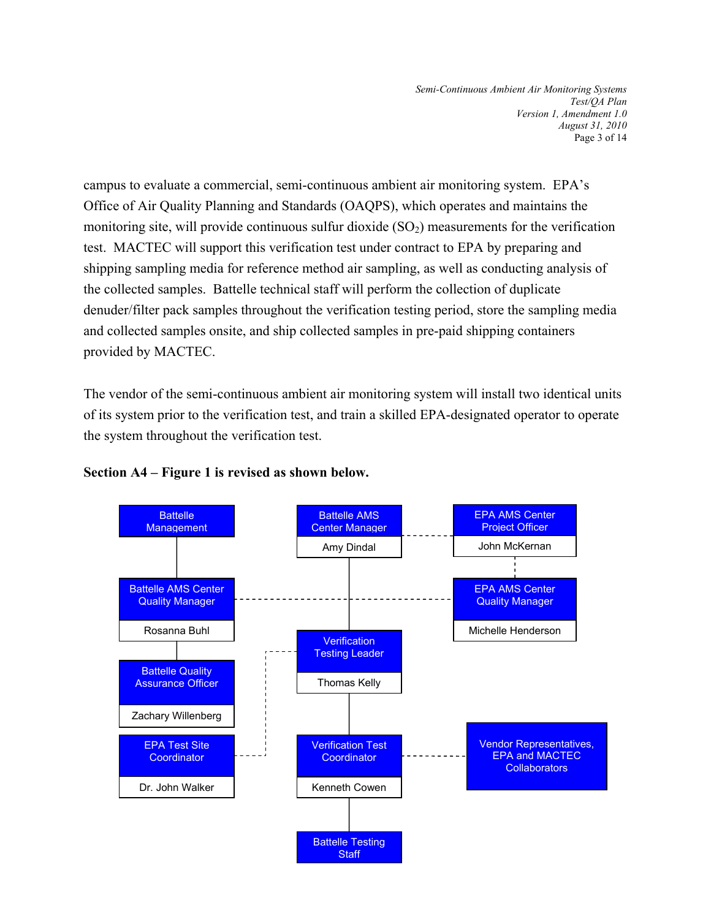*Semi-Continuous Ambient Air Monitoring Systems Test/QA Plan Version 1, Amendment 1.0 August 31, 2010* Page 3 of 14

campus to evaluate a commercial, semi-continuous ambient air monitoring system. EPA's Office of Air Quality Planning and Standards (OAQPS), which operates and maintains the monitoring site, will provide continuous sulfur dioxide  $(SO<sub>2</sub>)$  measurements for the verification test. MACTEC will support this verification test under contract to EPA by preparing and shipping sampling media for reference method air sampling, as well as conducting analysis of the collected samples. Battelle technical staff will perform the collection of duplicate denuder/filter pack samples throughout the verification testing period, store the sampling media and collected samples onsite, and ship collected samples in pre-paid shipping containers provided by MACTEC.

The vendor of the semi-continuous ambient air monitoring system will install two identical units of its system prior to the verification test, and train a skilled EPA-designated operator to operate the system throughout the verification test.



#### **Section A4 – Figure 1 is revised as shown below.**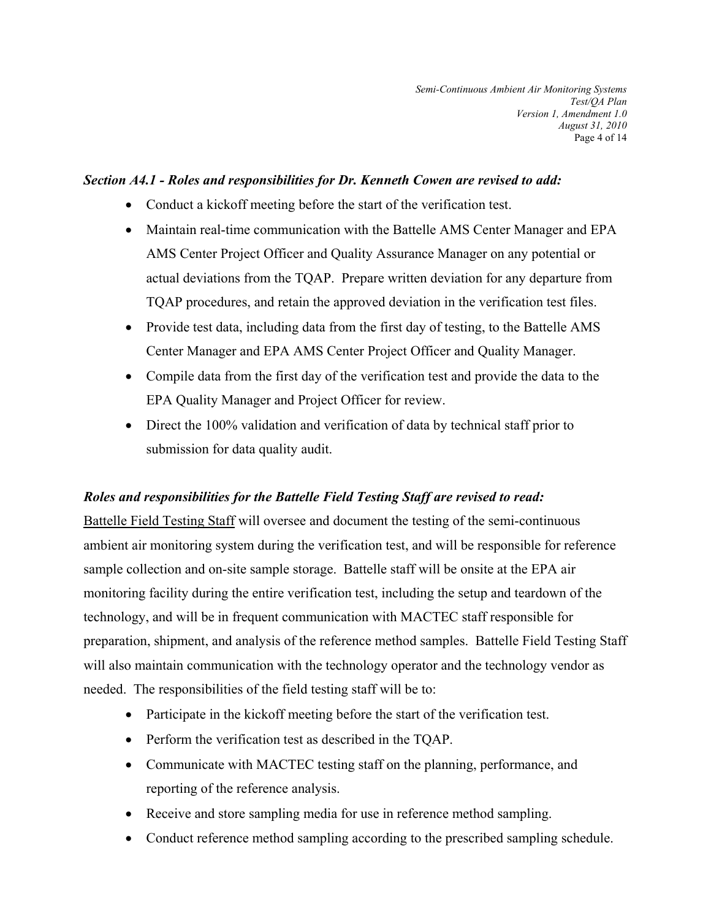### *Section A4.1 - Roles and responsibilities for Dr. Kenneth Cowen are revised to add:*

- Conduct a kickoff meeting before the start of the verification test.
- Maintain real-time communication with the Battelle AMS Center Manager and EPA AMS Center Project Officer and Quality Assurance Manager on any potential or actual deviations from the TQAP. Prepare written deviation for any departure from TQAP procedures, and retain the approved deviation in the verification test files.
- Provide test data, including data from the first day of testing, to the Battelle AMS Center Manager and EPA AMS Center Project Officer and Quality Manager.
- Compile data from the first day of the verification test and provide the data to the EPA Quality Manager and Project Officer for review.
- Direct the 100% validation and verification of data by technical staff prior to submission for data quality audit.

# *Roles and responsibilities for the Battelle Field Testing Staff are revised to read:*

Battelle Field Testing Staff will oversee and document the testing of the semi-continuous ambient air monitoring system during the verification test, and will be responsible for reference sample collection and on-site sample storage. Battelle staff will be onsite at the EPA air monitoring facility during the entire verification test, including the setup and teardown of the technology, and will be in frequent communication with MACTEC staff responsible for preparation, shipment, and analysis of the reference method samples. Battelle Field Testing Staff will also maintain communication with the technology operator and the technology vendor as needed. The responsibilities of the field testing staff will be to:

- Participate in the kickoff meeting before the start of the verification test.
- Perform the verification test as described in the TQAP.
- Communicate with MACTEC testing staff on the planning, performance, and reporting of the reference analysis.
- Receive and store sampling media for use in reference method sampling.
- Conduct reference method sampling according to the prescribed sampling schedule.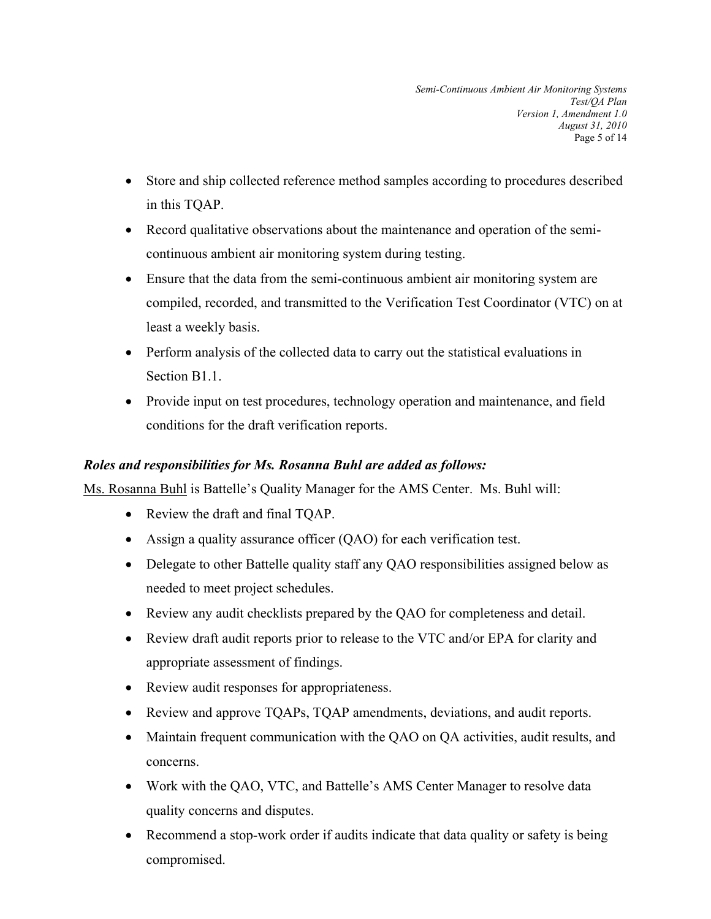- Store and ship collected reference method samples according to procedures described in this TQAP.
- Record qualitative observations about the maintenance and operation of the semicontinuous ambient air monitoring system during testing.
- Ensure that the data from the semi-continuous ambient air monitoring system are compiled, recorded, and transmitted to the Verification Test Coordinator (VTC) on at least a weekly basis.
- Perform analysis of the collected data to carry out the statistical evaluations in Section B1.1.
- Provide input on test procedures, technology operation and maintenance, and field conditions for the draft verification reports.

# *Roles and responsibilities for Ms. Rosanna Buhl are added as follows:*

Ms. Rosanna Buhl is Battelle's Quality Manager for the AMS Center. Ms. Buhl will:

- Review the draft and final TQAP.
- Assign a quality assurance officer (QAO) for each verification test.
- Delegate to other Battelle quality staff any QAO responsibilities assigned below as needed to meet project schedules.
- Review any audit checklists prepared by the QAO for completeness and detail.
- Review draft audit reports prior to release to the VTC and/or EPA for clarity and appropriate assessment of findings.
- Review audit responses for appropriateness.
- Review and approve TQAPs, TQAP amendments, deviations, and audit reports.
- Maintain frequent communication with the QAO on QA activities, audit results, and concerns.
- Work with the QAO, VTC, and Battelle's AMS Center Manager to resolve data quality concerns and disputes.
- Recommend a stop-work order if audits indicate that data quality or safety is being compromised.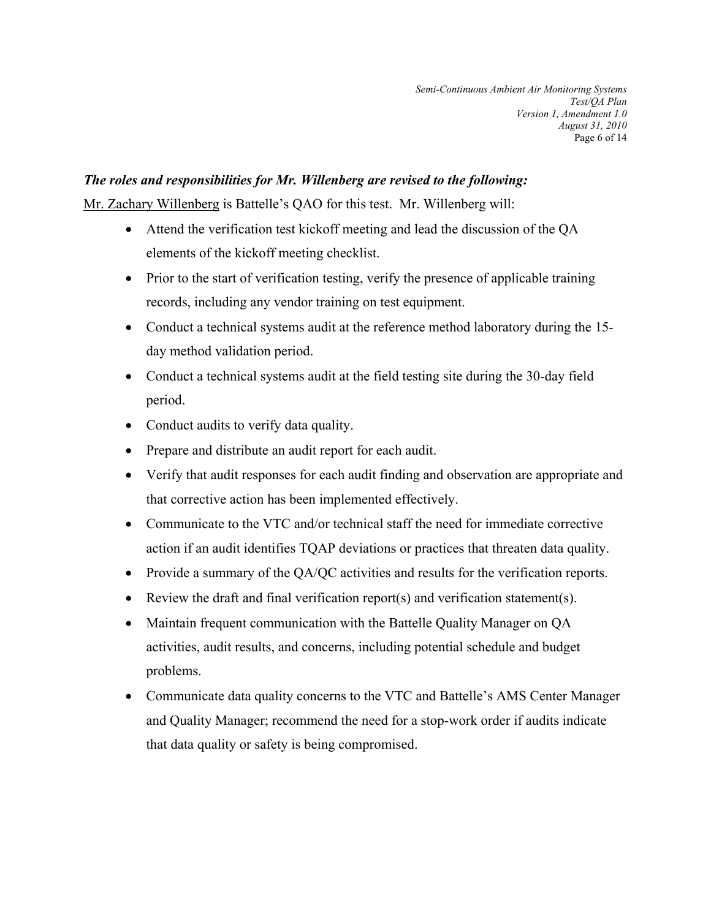# *The roles and responsibilities for Mr. Willenberg are revised to the following:*

Mr. Zachary Willenberg is Battelle's QAO for this test. Mr. Willenberg will:

- Attend the verification test kickoff meeting and lead the discussion of the QA elements of the kickoff meeting checklist.
- Prior to the start of verification testing, verify the presence of applicable training records, including any vendor training on test equipment.
- Conduct a technical systems audit at the reference method laboratory during the 15day method validation period.
- Conduct a technical systems audit at the field testing site during the 30-day field period.
- Conduct audits to verify data quality.
- Prepare and distribute an audit report for each audit.
- Verify that audit responses for each audit finding and observation are appropriate and that corrective action has been implemented effectively.
- Communicate to the VTC and/or technical staff the need for immediate corrective action if an audit identifies TQAP deviations or practices that threaten data quality.
- Provide a summary of the QA/QC activities and results for the verification reports.
- Review the draft and final verification report(s) and verification statement(s).
- Maintain frequent communication with the Battelle Quality Manager on QA activities, audit results, and concerns, including potential schedule and budget problems.
- Communicate data quality concerns to the VTC and Battelle's AMS Center Manager and Quality Manager; recommend the need for a stop-work order if audits indicate that data quality or safety is being compromised.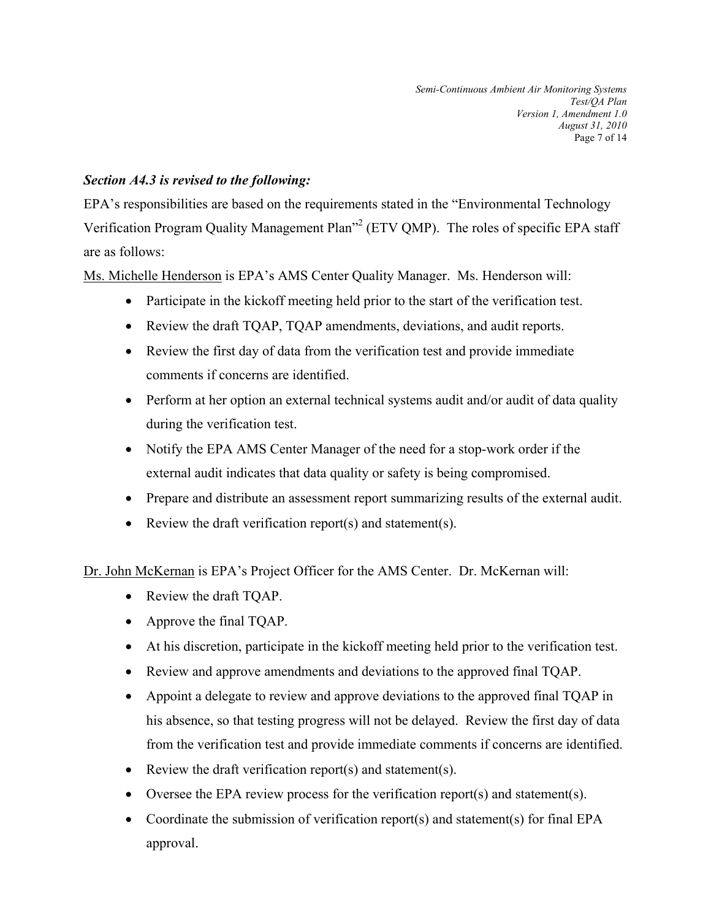*Semi-Continuous Ambient Air Monitoring Systems Test/QA Plan Version 1, Amendment 1.0 August 31, 2010* Page 7 of 14

### *Section A4.3 is revised to the following:*

EPA's responsibilities are based on the requirements stated in the "Environmental Technology Verification Program Quality Management Plan"<sup>2</sup> (ETV QMP). The roles of specific EPA staff are as follows:

Ms. Michelle Henderson is EPA's AMS Center Quality Manager. Ms. Henderson will:

- Participate in the kickoff meeting held prior to the start of the verification test.
- Review the draft TQAP, TQAP amendments, deviations, and audit reports.
- Review the first day of data from the verification test and provide immediate comments if concerns are identified.
- Perform at her option an external technical systems audit and/or audit of data quality during the verification test.
- Notify the EPA AMS Center Manager of the need for a stop-work order if the external audit indicates that data quality or safety is being compromised.
- Prepare and distribute an assessment report summarizing results of the external audit.
- Review the draft verification report(s) and statement(s).

Dr. John McKernan is EPA's Project Officer for the AMS Center. Dr. McKernan will:

- Review the draft TQAP.
- Approve the final TQAP.
- At his discretion, participate in the kickoff meeting held prior to the verification test.
- Review and approve amendments and deviations to the approved final TQAP.
- Appoint a delegate to review and approve deviations to the approved final TQAP in his absence, so that testing progress will not be delayed. Review the first day of data from the verification test and provide immediate comments if concerns are identified.
- Review the draft verification report(s) and statement(s).
- Oversee the EPA review process for the verification report(s) and statement(s).
- Coordinate the submission of verification report(s) and statement(s) for final EPA approval.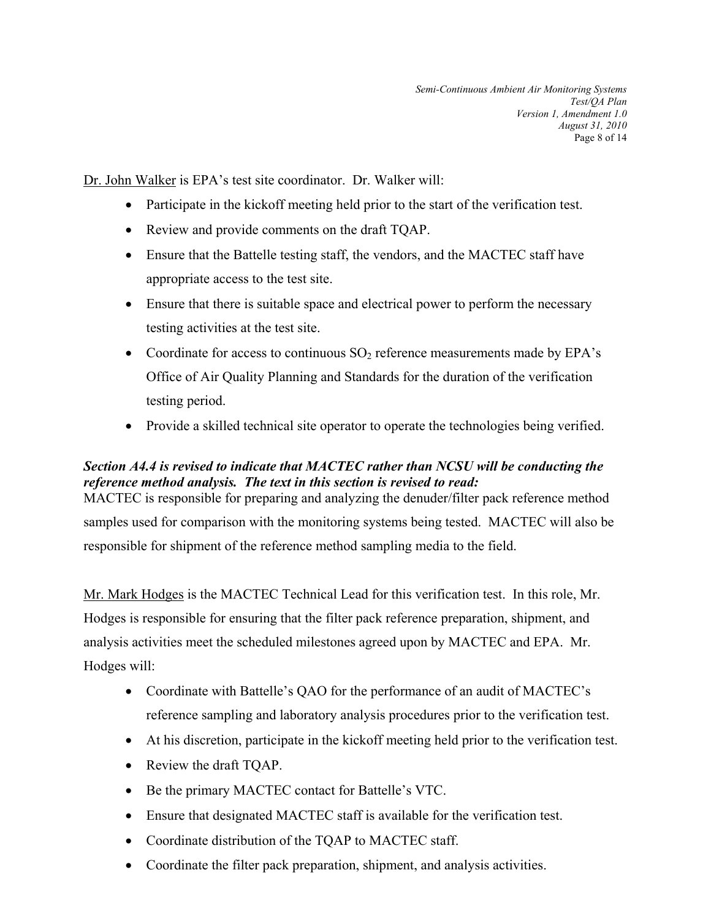Dr. John Walker is EPA's test site coordinator. Dr. Walker will:

- Participate in the kickoff meeting held prior to the start of the verification test.
- Review and provide comments on the draft TQAP.
- Ensure that the Battelle testing staff, the vendors, and the MACTEC staff have appropriate access to the test site.
- Ensure that there is suitable space and electrical power to perform the necessary testing activities at the test site.
- Coordinate for access to continuous  $SO_2$  reference measurements made by EPA's Office of Air Quality Planning and Standards for the duration of the verification testing period.
- Provide a skilled technical site operator to operate the technologies being verified.

# *Section A4.4 is revised to indicate that MACTEC rather than NCSU will be conducting the reference method analysis. The text in this section is revised to read:*

MACTEC is responsible for preparing and analyzing the denuder/filter pack reference method samples used for comparison with the monitoring systems being tested. MACTEC will also be responsible for shipment of the reference method sampling media to the field.

Mr. Mark Hodges is the MACTEC Technical Lead for this verification test. In this role, Mr. Hodges is responsible for ensuring that the filter pack reference preparation, shipment, and analysis activities meet the scheduled milestones agreed upon by MACTEC and EPA. Mr. Hodges will:

- Coordinate with Battelle's QAO for the performance of an audit of MACTEC's reference sampling and laboratory analysis procedures prior to the verification test.
- At his discretion, participate in the kickoff meeting held prior to the verification test.
- Review the draft TQAP.
- Be the primary MACTEC contact for Battelle's VTC.
- Ensure that designated MACTEC staff is available for the verification test.
- Coordinate distribution of the TQAP to MACTEC staff.
- Coordinate the filter pack preparation, shipment, and analysis activities.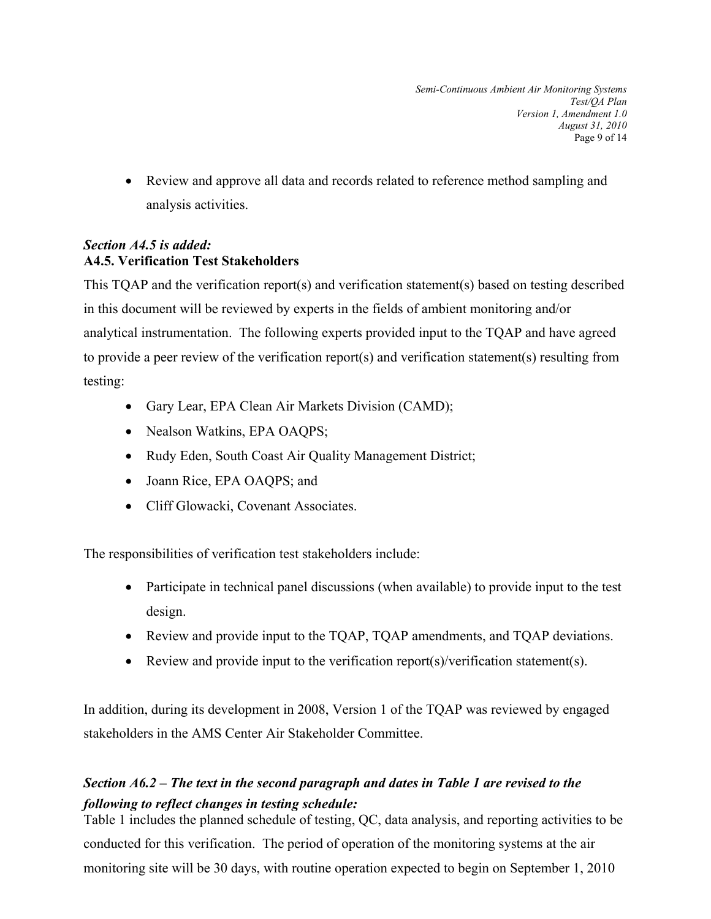*Semi-Continuous Ambient Air Monitoring Systems Test/QA Plan Version 1, Amendment 1.0 August 31, 2010* Page 9 of 14

• Review and approve all data and records related to reference method sampling and analysis activities.

# *Section A4.5 is added:*  **A4.5. Verification Test Stakeholders**

This TQAP and the verification report(s) and verification statement(s) based on testing described in this document will be reviewed by experts in the fields of ambient monitoring and/or analytical instrumentation. The following experts provided input to the TQAP and have agreed to provide a peer review of the verification report(s) and verification statement(s) resulting from testing:

- Gary Lear, EPA Clean Air Markets Division (CAMD);
- Nealson Watkins, EPA OAQPS;
- Rudy Eden, South Coast Air Quality Management District;
- Joann Rice, EPA OAQPS; and
- Cliff Glowacki, Covenant Associates.

The responsibilities of verification test stakeholders include:

- Participate in technical panel discussions (when available) to provide input to the test design.
- Review and provide input to the TQAP, TQAP amendments, and TQAP deviations.
- Review and provide input to the verification report(s)/verification statement(s).

In addition, during its development in 2008, Version 1 of the TQAP was reviewed by engaged stakeholders in the AMS Center Air Stakeholder Committee.

# *Section A6.2 – The text in the second paragraph and dates in Table 1 are revised to the following to reflect changes in testing schedule:*

Table 1 includes the planned schedule of testing, QC, data analysis, and reporting activities to be conducted for this verification. The period of operation of the monitoring systems at the air monitoring site will be 30 days, with routine operation expected to begin on September 1, 2010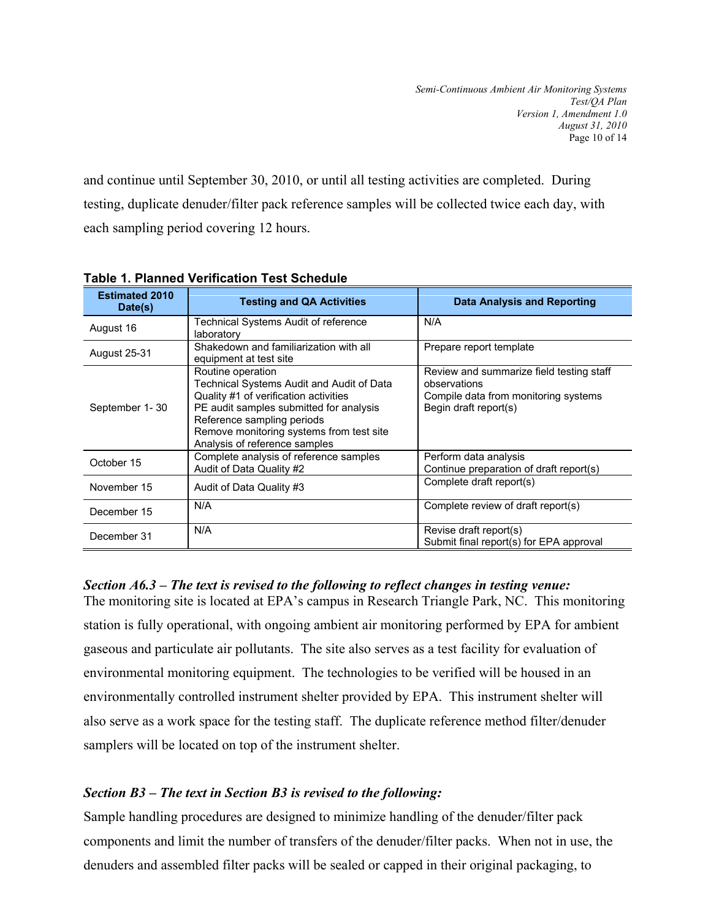*Semi-Continuous Ambient Air Monitoring Systems Test/QA Plan Version 1, Amendment 1.0 August 31, 2010* Page 10 of 14

and continue until September 30, 2010, or until all testing activities are completed. During testing, duplicate denuder/filter pack reference samples will be collected twice each day, with each sampling period covering 12 hours.

| <b>Estimated 2010</b><br>Date(s) | <b>Testing and QA Activities</b>                                                                                                                                                                                                                              | <b>Data Analysis and Reporting</b>                                                                                        |  |
|----------------------------------|---------------------------------------------------------------------------------------------------------------------------------------------------------------------------------------------------------------------------------------------------------------|---------------------------------------------------------------------------------------------------------------------------|--|
| August 16                        | N/A<br>Technical Systems Audit of reference<br>laboratory                                                                                                                                                                                                     |                                                                                                                           |  |
| <b>August 25-31</b>              | Shakedown and familiarization with all<br>equipment at test site                                                                                                                                                                                              | Prepare report template                                                                                                   |  |
| September 1-30                   | Routine operation<br>Technical Systems Audit and Audit of Data<br>Quality #1 of verification activities<br>PE audit samples submitted for analysis<br>Reference sampling periods<br>Remove monitoring systems from test site<br>Analysis of reference samples | Review and summarize field testing staff<br>observations<br>Compile data from monitoring systems<br>Begin draft report(s) |  |
| October 15                       | Complete analysis of reference samples<br>Audit of Data Quality #2                                                                                                                                                                                            | Perform data analysis<br>Continue preparation of draft report(s)                                                          |  |
| November 15                      | Audit of Data Quality #3                                                                                                                                                                                                                                      | Complete draft report(s)                                                                                                  |  |
| December 15                      | N/A                                                                                                                                                                                                                                                           | Complete review of draft report(s)                                                                                        |  |
| December 31                      | N/A                                                                                                                                                                                                                                                           | Revise draft report(s)<br>Submit final report(s) for EPA approval                                                         |  |

#### **Table 1. Planned Verification Test Schedule**

# *Section A6.3 – The text is revised to the following to reflect changes in testing venue:*

The monitoring site is located at EPA's campus in Research Triangle Park, NC. This monitoring station is fully operational, with ongoing ambient air monitoring performed by EPA for ambient gaseous and particulate air pollutants. The site also serves as a test facility for evaluation of environmental monitoring equipment. The technologies to be verified will be housed in an environmentally controlled instrument shelter provided by EPA. This instrument shelter will also serve as a work space for the testing staff. The duplicate reference method filter/denuder samplers will be located on top of the instrument shelter.

# *Section B3 – The text in Section B3 is revised to the following:*

Sample handling procedures are designed to minimize handling of the denuder/filter pack components and limit the number of transfers of the denuder/filter packs. When not in use, the denuders and assembled filter packs will be sealed or capped in their original packaging, to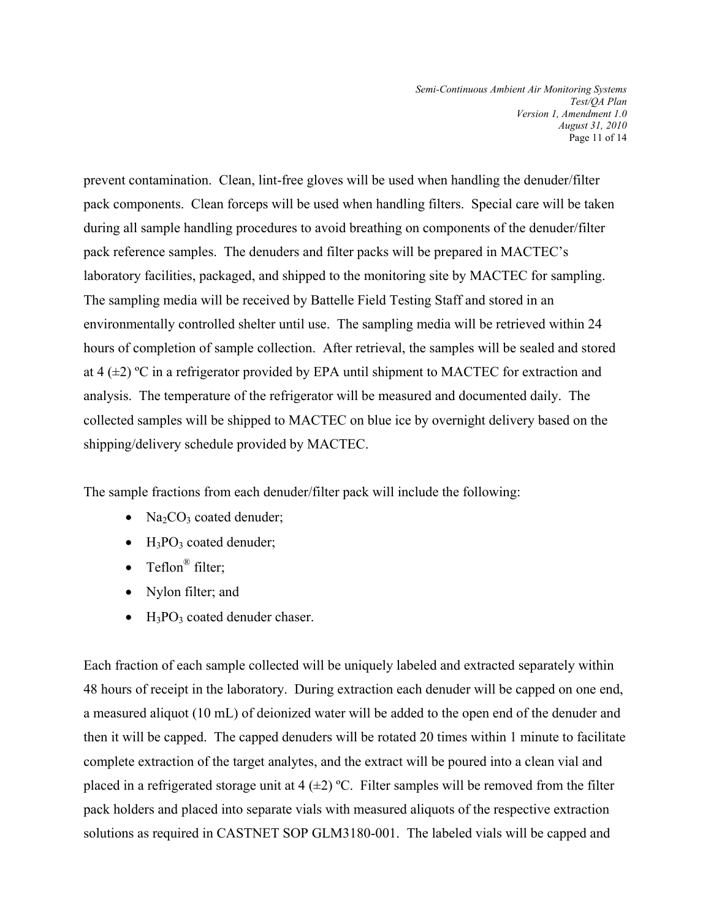*Semi-Continuous Ambient Air Monitoring Systems Test/QA Plan Version 1, Amendment 1.0 August 31, 2010* Page 11 of 14

prevent contamination. Clean, lint-free gloves will be used when handling the denuder/filter pack components. Clean forceps will be used when handling filters. Special care will be taken during all sample handling procedures to avoid breathing on components of the denuder/filter pack reference samples. The denuders and filter packs will be prepared in MACTEC's laboratory facilities, packaged, and shipped to the monitoring site by MACTEC for sampling. The sampling media will be received by Battelle Field Testing Staff and stored in an environmentally controlled shelter until use. The sampling media will be retrieved within 24 hours of completion of sample collection. After retrieval, the samples will be sealed and stored at 4  $(\pm 2)$  °C in a refrigerator provided by EPA until shipment to MACTEC for extraction and analysis. The temperature of the refrigerator will be measured and documented daily. The collected samples will be shipped to MACTEC on blue ice by overnight delivery based on the shipping/delivery schedule provided by MACTEC.

The sample fractions from each denuder/filter pack will include the following:

- Na<sub>2</sub>CO<sub>3</sub> coated denuder;
- $H_3PO_3$  coated denuder;
- Teflon<sup>®</sup> filter:
- Nylon filter; and
- $H_3PO_3$  coated denuder chaser.

Each fraction of each sample collected will be uniquely labeled and extracted separately within 48 hours of receipt in the laboratory. During extraction each denuder will be capped on one end, a measured aliquot (10 mL) of deionized water will be added to the open end of the denuder and then it will be capped. The capped denuders will be rotated 20 times within 1 minute to facilitate complete extraction of the target analytes, and the extract will be poured into a clean vial and placed in a refrigerated storage unit at  $4 \left( \pm 2 \right)$  °C. Filter samples will be removed from the filter pack holders and placed into separate vials with measured aliquots of the respective extraction solutions as required in CASTNET SOP GLM3180-001. The labeled vials will be capped and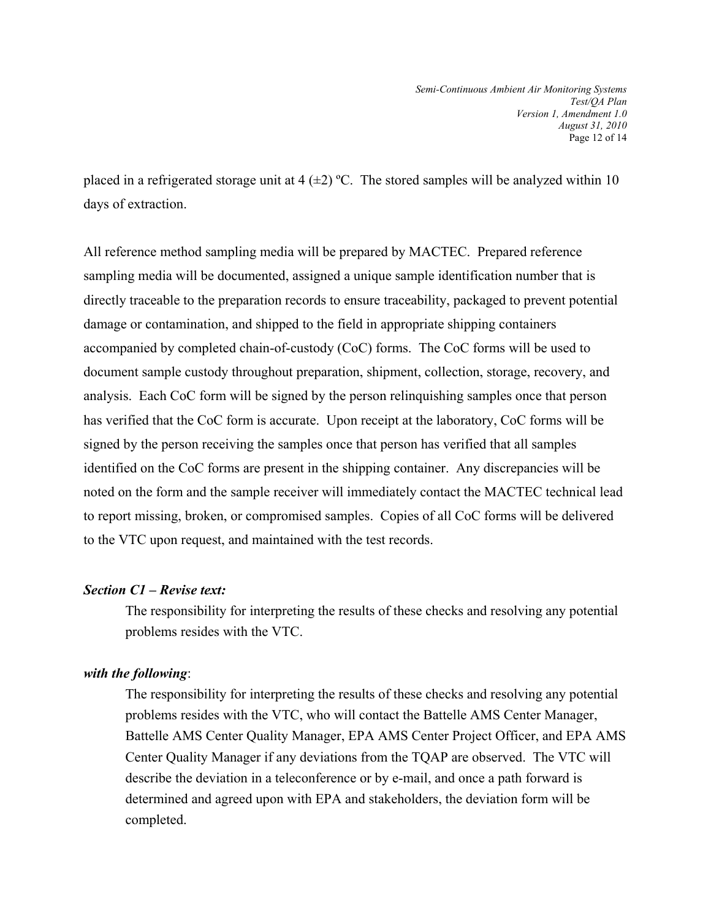*Semi-Continuous Ambient Air Monitoring Systems Test/QA Plan Version 1, Amendment 1.0 August 31, 2010* Page 12 of 14

placed in a refrigerated storage unit at  $4 (+2)$  °C. The stored samples will be analyzed within 10 days of extraction.

All reference method sampling media will be prepared by MACTEC. Prepared reference sampling media will be documented, assigned a unique sample identification number that is directly traceable to the preparation records to ensure traceability, packaged to prevent potential damage or contamination, and shipped to the field in appropriate shipping containers accompanied by completed chain-of-custody (CoC) forms. The CoC forms will be used to document sample custody throughout preparation, shipment, collection, storage, recovery, and analysis. Each CoC form will be signed by the person relinquishing samples once that person has verified that the CoC form is accurate. Upon receipt at the laboratory, CoC forms will be signed by the person receiving the samples once that person has verified that all samples identified on the CoC forms are present in the shipping container. Any discrepancies will be noted on the form and the sample receiver will immediately contact the MACTEC technical lead to report missing, broken, or compromised samples. Copies of all CoC forms will be delivered to the VTC upon request, and maintained with the test records.

#### *Section C1 – Revise text:*

The responsibility for interpreting the results of these checks and resolving any potential problems resides with the VTC.

#### *with the following*:

The responsibility for interpreting the results of these checks and resolving any potential problems resides with the VTC, who will contact the Battelle AMS Center Manager, Battelle AMS Center Quality Manager, EPA AMS Center Project Officer, and EPA AMS Center Quality Manager if any deviations from the TQAP are observed. The VTC will describe the deviation in a teleconference or by e-mail, and once a path forward is determined and agreed upon with EPA and stakeholders, the deviation form will be completed.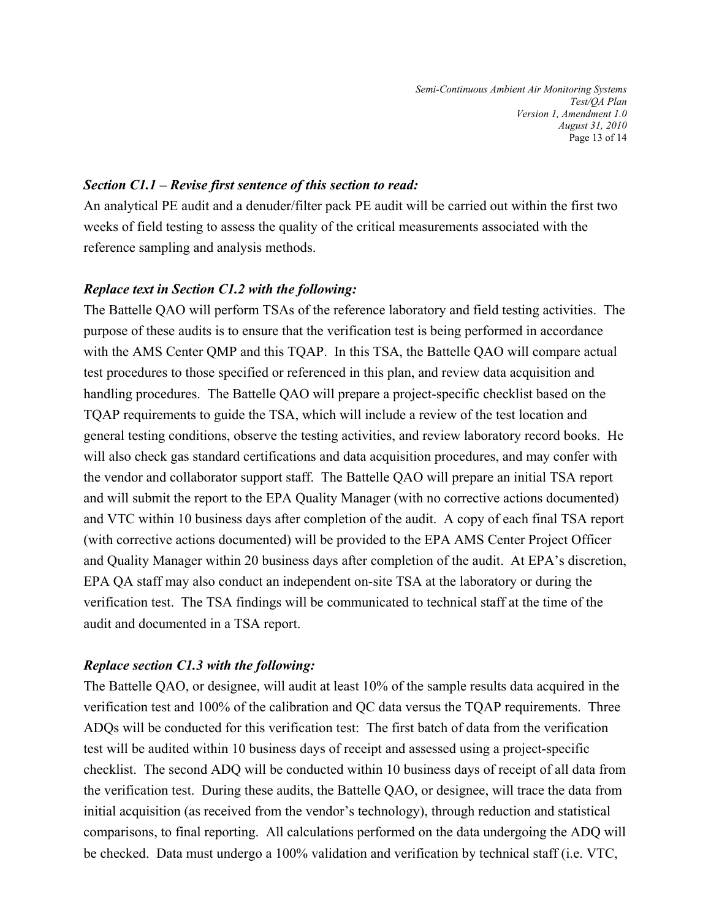*Semi-Continuous Ambient Air Monitoring Systems Test/QA Plan Version 1, Amendment 1.0 August 31, 2010* Page 13 of 14

#### *Section C1.1 – Revise first sentence of this section to read:*

An analytical PE audit and a denuder/filter pack PE audit will be carried out within the first two weeks of field testing to assess the quality of the critical measurements associated with the reference sampling and analysis methods.

#### *Replace text in Section C1.2 with the following:*

The Battelle QAO will perform TSAs of the reference laboratory and field testing activities. The purpose of these audits is to ensure that the verification test is being performed in accordance with the AMS Center QMP and this TQAP. In this TSA, the Battelle QAO will compare actual test procedures to those specified or referenced in this plan, and review data acquisition and handling procedures. The Battelle QAO will prepare a project-specific checklist based on the TQAP requirements to guide the TSA, which will include a review of the test location and general testing conditions, observe the testing activities, and review laboratory record books. He will also check gas standard certifications and data acquisition procedures, and may confer with the vendor and collaborator support staff. The Battelle QAO will prepare an initial TSA report and will submit the report to the EPA Quality Manager (with no corrective actions documented) and VTC within 10 business days after completion of the audit. A copy of each final TSA report (with corrective actions documented) will be provided to the EPA AMS Center Project Officer and Quality Manager within 20 business days after completion of the audit. At EPA's discretion, EPA QA staff may also conduct an independent on-site TSA at the laboratory or during the verification test. The TSA findings will be communicated to technical staff at the time of the audit and documented in a TSA report.

#### *Replace section C1.3 with the following:*

The Battelle QAO, or designee, will audit at least 10% of the sample results data acquired in the verification test and 100% of the calibration and QC data versus the TQAP requirements. Three ADQs will be conducted for this verification test: The first batch of data from the verification test will be audited within 10 business days of receipt and assessed using a project-specific checklist. The second ADQ will be conducted within 10 business days of receipt of all data from the verification test. During these audits, the Battelle QAO, or designee, will trace the data from initial acquisition (as received from the vendor's technology), through reduction and statistical comparisons, to final reporting. All calculations performed on the data undergoing the ADQ will be checked. Data must undergo a 100% validation and verification by technical staff (i.e. VTC,